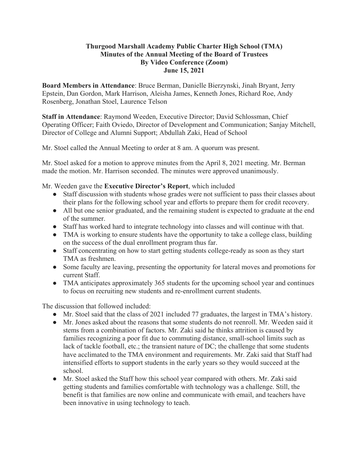## **Thurgood Marshall Academy Public Charter High School (TMA) Minutes of the Annual Meeting of the Board of Trustees By Video Conference (Zoom) June 15, 2021**

**Board Members in Attendance**: Bruce Berman, Danielle Bierzynski, Jinah Bryant, Jerry Epstein, Dan Gordon, Mark Harrison, Aleisha James, Kenneth Jones, Richard Roe, Andy Rosenberg, Jonathan Stoel, Laurence Telson

**Staff in Attendance**: Raymond Weeden, Executive Director; David Schlossman, Chief Operating Officer; Faith Oviedo, Director of Development and Communication; Sanjay Mitchell, Director of College and Alumni Support; Abdullah Zaki, Head of School

Mr. Stoel called the Annual Meeting to order at 8 am. A quorum was present.

Mr. Stoel asked for a motion to approve minutes from the April 8, 2021 meeting. Mr. Berman made the motion. Mr. Harrison seconded. The minutes were approved unanimously.

Mr. Weeden gave the **Executive Director's Report**, which included

- Staff discussion with students whose grades were not sufficient to pass their classes about their plans for the following school year and efforts to prepare them for credit recovery.
- All but one senior graduated, and the remaining student is expected to graduate at the end of the summer.
- Staff has worked hard to integrate technology into classes and will continue with that.
- TMA is working to ensure students have the opportunity to take a college class, building on the success of the dual enrollment program thus far.
- Staff concentrating on how to start getting students college-ready as soon as they start TMA as freshmen.
- Some faculty are leaving, presenting the opportunity for lateral moves and promotions for current Staff.
- TMA anticipates approximately 365 students for the upcoming school year and continues to focus on recruiting new students and re-enrollment current students.

The discussion that followed included:

- Mr. Stoel said that the class of 2021 included 77 graduates, the largest in TMA's history.
- Mr. Jones asked about the reasons that some students do not reenroll. Mr. Weeden said it stems from a combination of factors. Mr. Zaki said he thinks attrition is caused by families recognizing a poor fit due to commuting distance, small-school limits such as lack of tackle football, etc.; the transient nature of DC; the challenge that some students have acclimated to the TMA environment and requirements. Mr. Zaki said that Staff had intensified efforts to support students in the early years so they would succeed at the school.
- Mr. Stoel asked the Staff how this school year compared with others. Mr. Zaki said getting students and families comfortable with technology was a challenge. Still, the benefit is that families are now online and communicate with email, and teachers have been innovative in using technology to teach.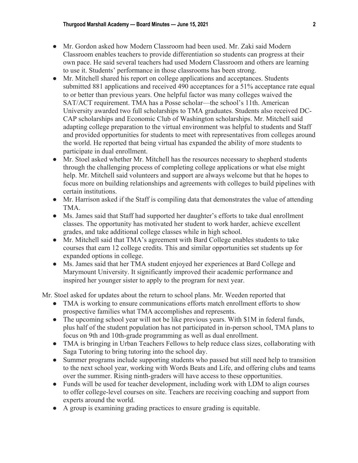- Mr. Gordon asked how Modern Classroom had been used. Mr. Zaki said Modern Classroom enables teachers to provide differentiation so students can progress at their own pace. He said several teachers had used Modern Classroom and others are learning to use it. Students' performance in those classrooms has been strong.
- Mr. Mitchell shared his report on college applications and acceptances. Students submitted 881 applications and received 490 acceptances for a 51% acceptance rate equal to or better than previous years. One helpful factor was many colleges waived the SAT/ACT requirement. TMA has a Posse scholar—the school's 11th. American University awarded two full scholarships to TMA graduates. Students also received DC-CAP scholarships and Economic Club of Washington scholarships. Mr. Mitchell said adapting college preparation to the virtual environment was helpful to students and Staff and provided opportunities for students to meet with representatives from colleges around the world. He reported that being virtual has expanded the ability of more students to participate in dual enrollment.
- Mr. Stoel asked whether Mr. Mitchell has the resources necessary to shepherd students through the challenging process of completing college applications or what else might help. Mr. Mitchell said volunteers and support are always welcome but that he hopes to focus more on building relationships and agreements with colleges to build pipelines with certain institutions.
- Mr. Harrison asked if the Staff is compiling data that demonstrates the value of attending TMA.
- Ms. James said that Staff had supported her daughter's efforts to take dual enrollment classes. The opportunity has motivated her student to work harder, achieve excellent grades, and take additional college classes while in high school.
- Mr. Mitchell said that TMA's agreement with Bard College enables students to take courses that earn 12 college credits. This and similar opportunities set students up for expanded options in college.
- Ms. James said that her TMA student enjoyed her experiences at Bard College and Marymount University. It significantly improved their academic performance and inspired her younger sister to apply to the program for next year.

Mr. Stoel asked for updates about the return to school plans. Mr. Weeden reported that

- TMA is working to ensure communications efforts match enrollment efforts to show prospective families what TMA accomplishes and represents.
- The upcoming school year will not be like previous years. With \$1M in federal funds, plus half of the student population has not participated in in-person school, TMA plans to focus on 9th and 10th-grade programming as well as dual enrollment.
- TMA is bringing in Urban Teachers Fellows to help reduce class sizes, collaborating with Saga Tutoring to bring tutoring into the school day.
- Summer programs include supporting students who passed but still need help to transition to the next school year, working with Words Beats and Life, and offering clubs and teams over the summer. Rising ninth-graders will have access to these opportunities.
- Funds will be used for teacher development, including work with LDM to align courses to offer college-level courses on site. Teachers are receiving coaching and support from experts around the world.
- A group is examining grading practices to ensure grading is equitable.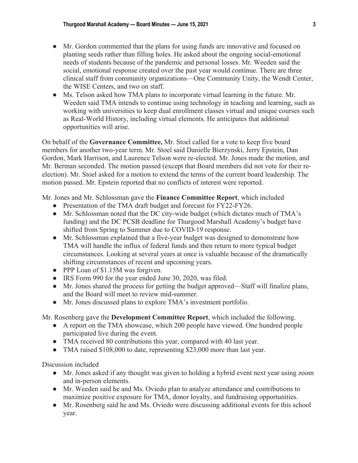- Mr. Gordon commented that the plans for using funds are innovative and focused on planting seeds rather than filling holes. He asked about the ongoing social-emotional needs of students because of the pandemic and personal losses. Mr. Weeden said the social, emotional response created over the past year would continue. There are three clinical staff from community organizations—One Community Unity, the Wendt Center, the WISE Centers, and two on staff.
- Ms. Telson asked how TMA plans to incorporate virtual learning in the future. Mr. Weeden said TMA intends to continue using technology in teaching and learning, such as working with universities to keep dual enrollment classes virtual and unique courses such as Real-World History, including virtual elements. He anticipates that additional opportunities will arise.

On behalf of the **Governance Committee,** Mr. Stoel called for a vote to keep five board members for another two-year term. Mr. Stoel said Danielle Bierzynski, Jerry Epstein, Dan Gordon, Mark Harrison, and Laurence Telson were re-elected. Mr. Jones made the motion, and Mr. Berman seconded. The motion passed (except that Board members did not vote for their reelection). Mr. Stoel asked for a motion to extend the terms of the current board leadership. The motion passed. Mr. Epstein reported that no conflicts of interest were reported.

Mr. Jones and Mr. Schlossman gave the **Finance Committee Report**, which included

- Presentation of the TMA draft budget and forecast for FY22-FY26.
- Mr. Schlossman noted that the DC city-wide budget (which dictates much of TMA's funding) and the DC PCSB deadline for Thurgood Marshall Academy's budget have shifted from Spring to Summer due to COVID-19 response.
- Mr. Schlossman explained that a five-year budget was designed to demonstrate how TMA will handle the influx of federal funds and then return to more typical budget circumstances. Looking at several years at once is valuable because of the dramatically shifting circumstances of recent and upcoming years.
- PPP Loan of \$1.15M was forgiven.
- IRS Form 990 for the year ended June 30, 2020, was filed.
- Mr. Jones shared the process for getting the budget approved—Staff will finalize plans, and the Board will meet to review mid-summer.
- Mr. Jones discussed plans to explore TMA's investment portfolio.

Mr. Rosenberg gave the **Development Committee Report**, which included the following.

- A report on the TMA showcase, which 200 people have viewed. One hundred people participated live during the event.
- TMA received 80 contributions this year, compared with 40 last year.
- TMA raised \$108,000 to date, representing \$23,000 more than last year.

Discussion included

- Mr. Jones asked if any thought was given to holding a hybrid event next year using zoom and in-person elements.
- Mr. Weeden said he and Ms. Oviedo plan to analyze attendance and contributions to maximize positive exposure for TMA, donor loyalty, and fundraising opportunities.
- Mr. Rosenberg said he and Ms. Oviedo were discussing additional events for this school year.